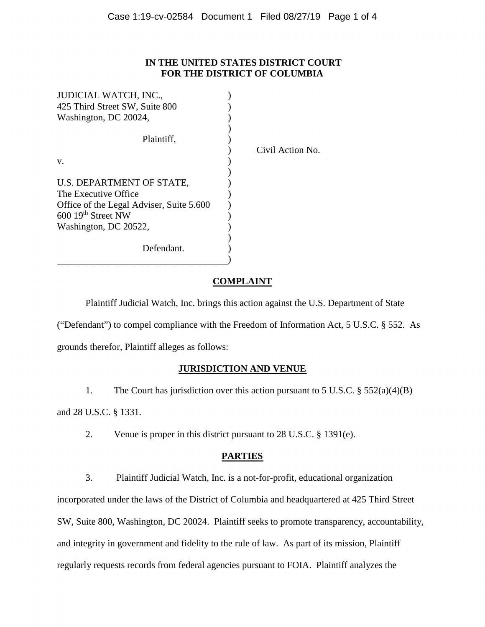#### **IN THE UNITED STATES DISTRICT COURT FOR THE DISTRICT OF COLUMBIA**

| <b>JUDICIAL WATCH, INC.,</b>             |                  |
|------------------------------------------|------------------|
| 425 Third Street SW, Suite 800           |                  |
| Washington, DC 20024,                    |                  |
|                                          |                  |
| Plaintiff,                               |                  |
|                                          | Civil Action No. |
| V.                                       |                  |
|                                          |                  |
| U.S. DEPARTMENT OF STATE,                |                  |
| The Executive Office                     |                  |
| Office of the Legal Adviser, Suite 5.600 |                  |
| $600$ 19 <sup>th</sup> Street NW         |                  |
| Washington, DC 20522,                    |                  |
|                                          |                  |
| Defendant.                               |                  |
|                                          |                  |

## **COMPLAINT**

Plaintiff Judicial Watch, Inc. brings this action against the U.S. Department of State ("Defendant") to compel compliance with the Freedom of Information Act, 5 U.S.C. § 552. As grounds therefor, Plaintiff alleges as follows:

## **JURISDICTION AND VENUE**

 1. The Court has jurisdiction over this action pursuant to 5 U.S.C. § 552(a)(4)(B) and 28 U.S.C. § 1331.

2. Venue is proper in this district pursuant to 28 U.S.C. § 1391(e).

## **PARTIES**

 3. Plaintiff Judicial Watch, Inc. is a not-for-profit, educational organization incorporated under the laws of the District of Columbia and headquartered at 425 Third Street SW, Suite 800, Washington, DC 20024. Plaintiff seeks to promote transparency, accountability, and integrity in government and fidelity to the rule of law. As part of its mission, Plaintiff regularly requests records from federal agencies pursuant to FOIA. Plaintiff analyzes the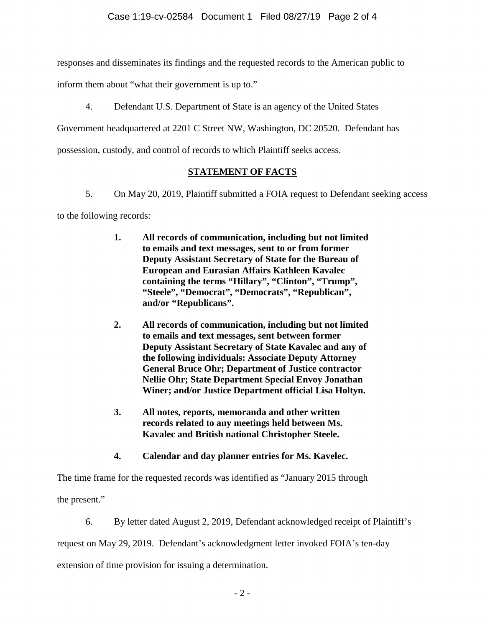responses and disseminates its findings and the requested records to the American public to

inform them about "what their government is up to."

4. Defendant U.S. Department of State is an agency of the United States

Government headquartered at 2201 C Street NW, Washington, DC 20520. Defendant has

possession, custody, and control of records to which Plaintiff seeks access.

# **STATEMENT OF FACTS**

- 5. On May 20, 2019, Plaintiff submitted a FOIA request to Defendant seeking access to the following records:
	- **1. All records of communication, including but not limited to emails and text messages, sent to or from former Deputy Assistant Secretary of State for the Bureau of European and Eurasian Affairs Kathleen Kavalec containing the terms "Hillary", "Clinton", "Trump", "Steele", "Democrat", "Democrats", "Republican", and/or "Republicans".**
	- **2. All records of communication, including but not limited to emails and text messages, sent between former Deputy Assistant Secretary of State Kavalec and any of the following individuals: Associate Deputy Attorney General Bruce Ohr; Department of Justice contractor Nellie Ohr; State Department Special Envoy Jonathan Winer; and/or Justice Department official Lisa Holtyn.**
	- **3. All notes, reports, memoranda and other written records related to any meetings held between Ms. Kavalec and British national Christopher Steele.**
	- **4. Calendar and day planner entries for Ms. Kavelec.**

The time frame for the requested records was identified as "January 2015 through the present."

 6. By letter dated August 2, 2019, Defendant acknowledged receipt of Plaintiff's request on May 29, 2019. Defendant's acknowledgment letter invoked FOIA's ten-day extension of time provision for issuing a determination.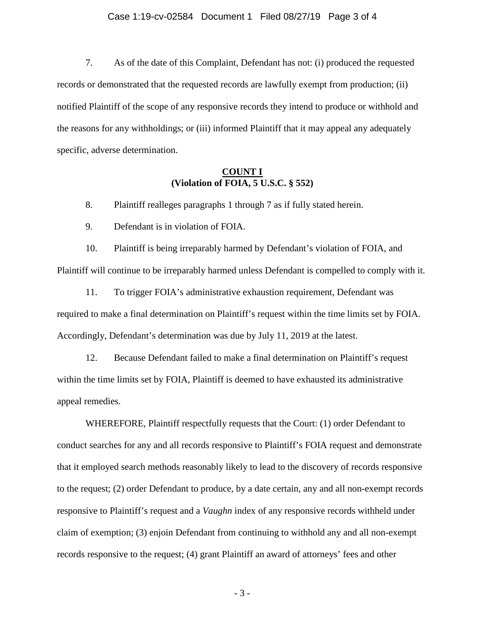#### Case 1:19-cv-02584 Document 1 Filed 08/27/19 Page 3 of 4

 7. As of the date of this Complaint, Defendant has not: (i) produced the requested records or demonstrated that the requested records are lawfully exempt from production; (ii) notified Plaintiff of the scope of any responsive records they intend to produce or withhold and the reasons for any withholdings; or (iii) informed Plaintiff that it may appeal any adequately specific, adverse determination.

#### **COUNT I (Violation of FOIA, 5 U.S.C. § 552)**

8. Plaintiff realleges paragraphs 1 through 7 as if fully stated herein.

9. Defendant is in violation of FOIA.

 10. Plaintiff is being irreparably harmed by Defendant's violation of FOIA, and Plaintiff will continue to be irreparably harmed unless Defendant is compelled to comply with it.

11. To trigger FOIA's administrative exhaustion requirement, Defendant was required to make a final determination on Plaintiff's request within the time limits set by FOIA. Accordingly, Defendant's determination was due by July 11, 2019 at the latest.

12. Because Defendant failed to make a final determination on Plaintiff's request within the time limits set by FOIA, Plaintiff is deemed to have exhausted its administrative appeal remedies.

 WHEREFORE, Plaintiff respectfully requests that the Court: (1) order Defendant to conduct searches for any and all records responsive to Plaintiff's FOIA request and demonstrate that it employed search methods reasonably likely to lead to the discovery of records responsive to the request; (2) order Defendant to produce, by a date certain, any and all non-exempt records responsive to Plaintiff's request and a *Vaughn* index of any responsive records withheld under claim of exemption; (3) enjoin Defendant from continuing to withhold any and all non-exempt records responsive to the request; (4) grant Plaintiff an award of attorneys' fees and other

- 3 -